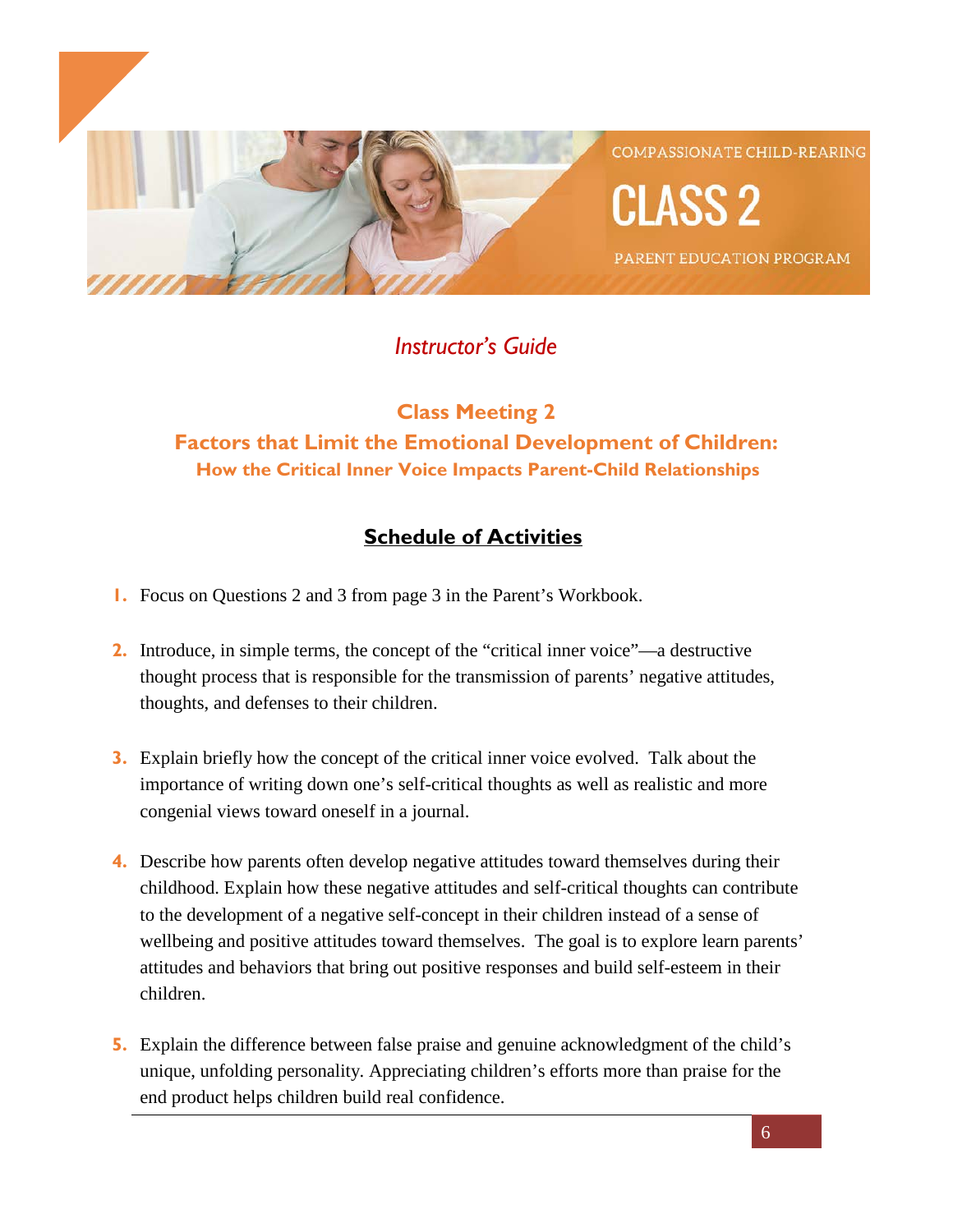

# *Instructor's Guide*

# **Class Meeting 2 Factors that Limit the Emotional Development of Children: How the Critical Inner Voice Impacts Parent-Child Relationships**

# **Schedule of Activities**

- **1.** Focus on Questions 2 and 3 from page 3 in the Parent's Workbook.
- **2.** Introduce, in simple terms, the concept of the "critical inner voice"—a destructive thought process that is responsible for the transmission of parents' negative attitudes, thoughts, and defenses to their children.
- **3.** Explain briefly how the concept of the critical inner voice evolved. Talk about the importance of writing down one's self-critical thoughts as well as realistic and more congenial views toward oneself in a journal.
- **4.** Describe how parents often develop negative attitudes toward themselves during their childhood. Explain how these negative attitudes and self-critical thoughts can contribute to the development of a negative self-concept in their children instead of a sense of wellbeing and positive attitudes toward themselves. The goal is to explore learn parents' attitudes and behaviors that bring out positive responses and build self-esteem in their children.
- **5.** Explain the difference between false praise and genuine acknowledgment of the child's unique, unfolding personality. Appreciating children's efforts more than praise for the end product helps children build real confidence.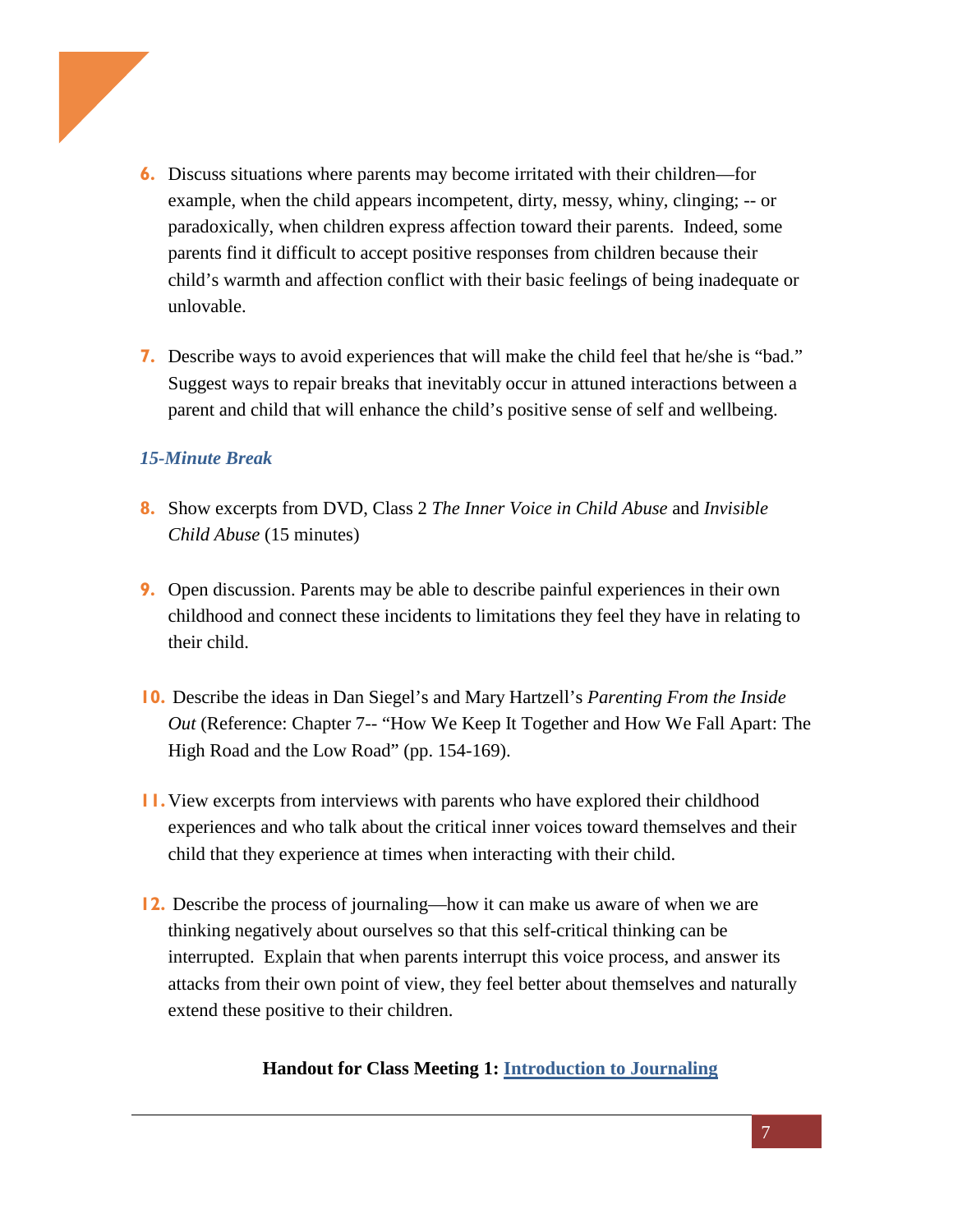

- **6.** Discuss situations where parents may become irritated with their children—for example, when the child appears incompetent, dirty, messy, whiny, clinging; -- or paradoxically, when children express affection toward their parents. Indeed, some parents find it difficult to accept positive responses from children because their child's warmth and affection conflict with their basic feelings of being inadequate or unlovable.
- **7.** Describe ways to avoid experiences that will make the child feel that he/she is "bad." Suggest ways to repair breaks that inevitably occur in attuned interactions between a parent and child that will enhance the child's positive sense of self and wellbeing.

## *15-Minute Break*

- **8.** Show excerpts from DVD, Class 2 *The Inner Voice in Child Abuse* and *Invisible Child Abuse* (15 minutes)
- **9.** Open discussion. Parents may be able to describe painful experiences in their own childhood and connect these incidents to limitations they feel they have in relating to their child.
- **10.** Describe the ideas in Dan Siegel's and Mary Hartzell's *Parenting From the Inside Out* (Reference: Chapter 7-- "How We Keep It Together and How We Fall Apart: The High Road and the Low Road" (pp. 154-169).
- **11.**View excerpts from interviews with parents who have explored their childhood experiences and who talk about the critical inner voices toward themselves and their child that they experience at times when interacting with their child.
- **12.** Describe the process of journaling—how it can make us aware of when we are thinking negatively about ourselves so that this self-critical thinking can be interrupted. Explain that when parents interrupt this voice process, and answer its attacks from their own point of view, they feel better about themselves and naturally extend these positive to their children.

### **Handout for Class Meeting 1: [Introduction](https://ecourse.psychalive.org/wp-content/uploads/2018/04/Class-2-Handout-1.pdf) to Journaling**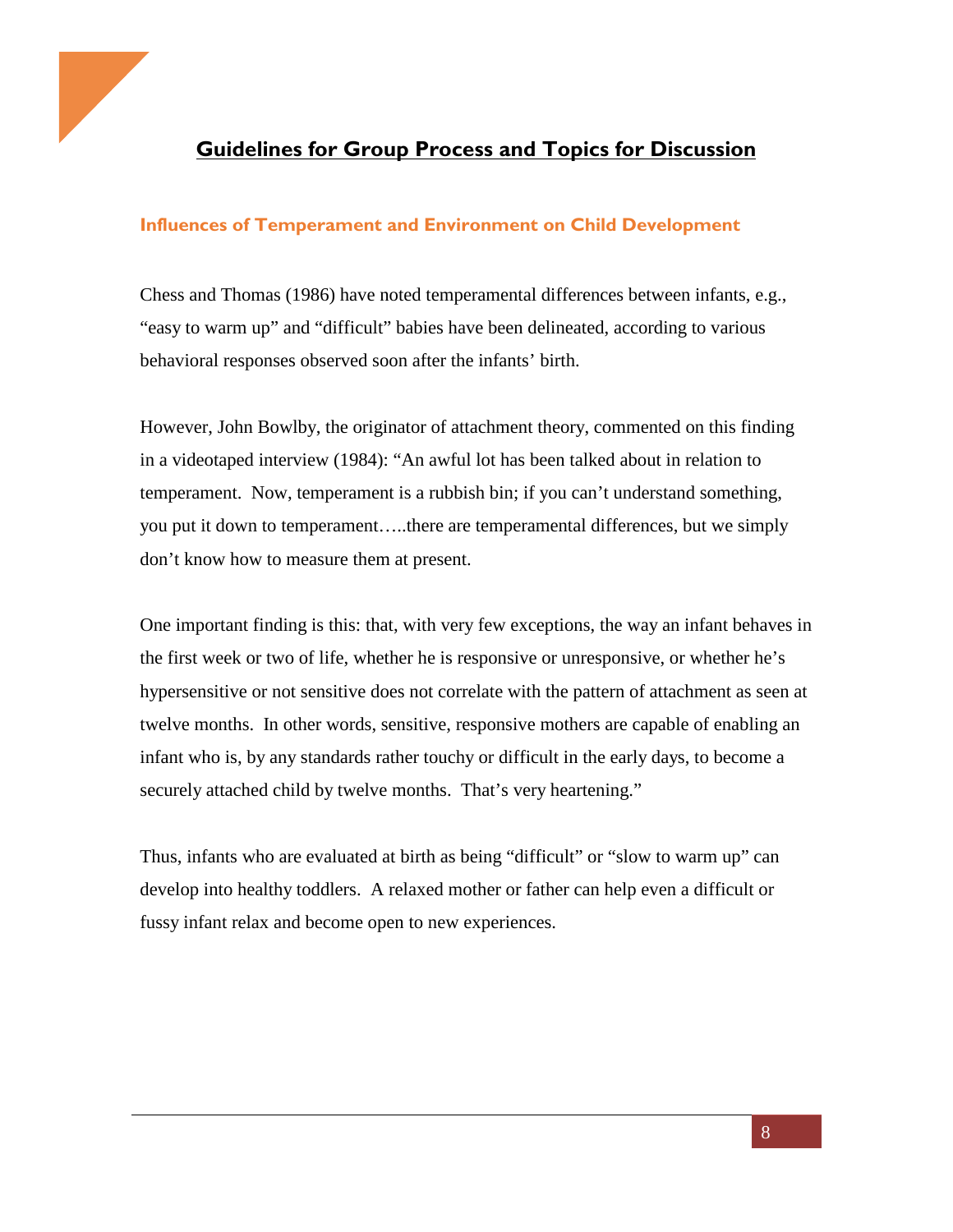

# **Guidelines for Group Process and Topics for Discussion**

### **Influences of Temperament and Environment on Child Development**

Chess and Thomas (1986) have noted temperamental differences between infants, e.g., "easy to warm up" and "difficult" babies have been delineated, according to various behavioral responses observed soon after the infants' birth.

However, John Bowlby, the originator of attachment theory, commented on this finding in a videotaped interview (1984): "An awful lot has been talked about in relation to temperament. Now, temperament is a rubbish bin; if you can't understand something, you put it down to temperament…..there are temperamental differences, but we simply don't know how to measure them at present.

One important finding is this: that, with very few exceptions, the way an infant behaves in the first week or two of life, whether he is responsive or unresponsive, or whether he's hypersensitive or not sensitive does not correlate with the pattern of attachment as seen at twelve months. In other words, sensitive, responsive mothers are capable of enabling an infant who is, by any standards rather touchy or difficult in the early days, to become a securely attached child by twelve months. That's very heartening."

Thus, infants who are evaluated at birth as being "difficult" or "slow to warm up" can develop into healthy toddlers. A relaxed mother or father can help even a difficult or fussy infant relax and become open to new experiences.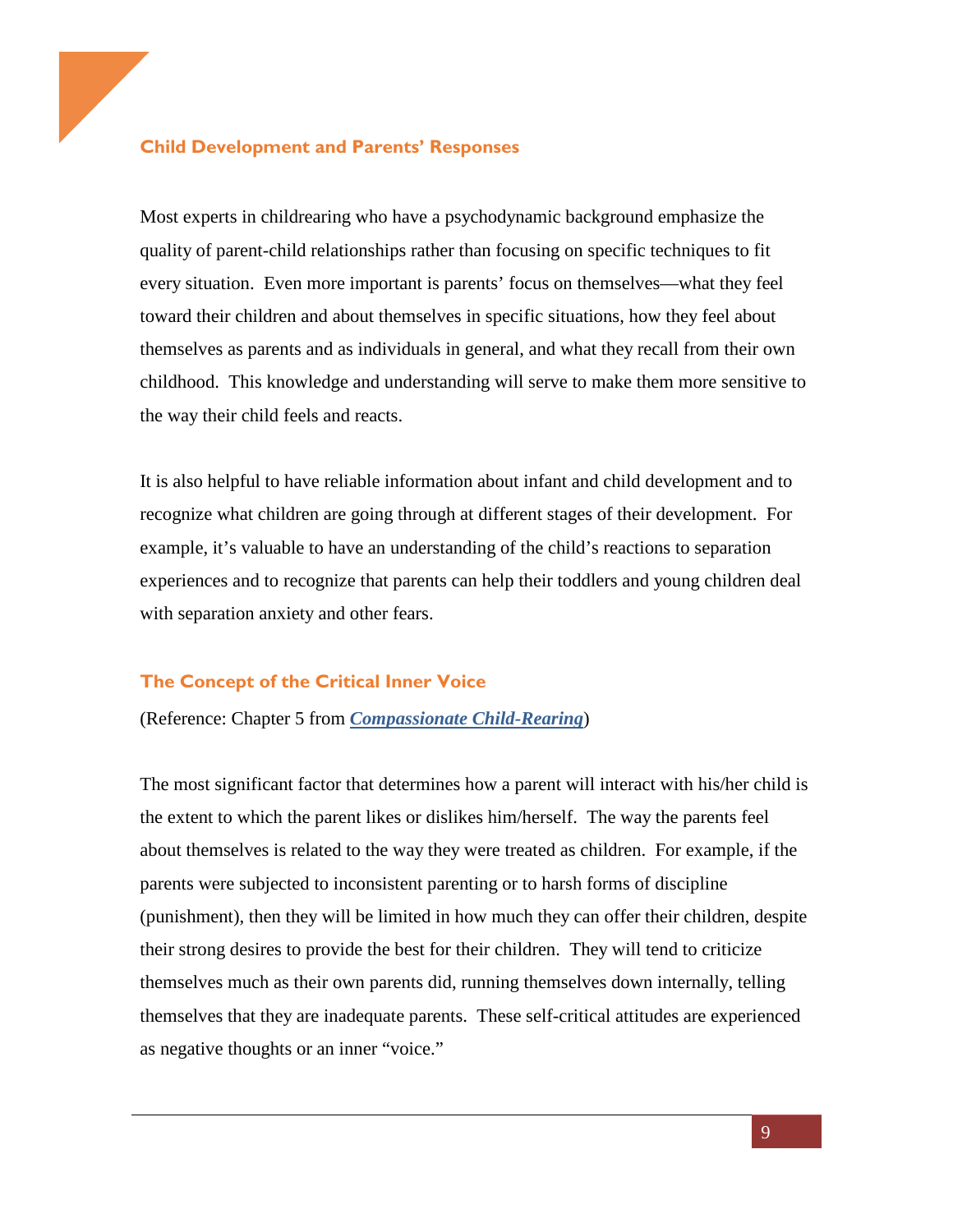#### **Child Development and Parents' Responses**

Most experts in childrearing who have a psychodynamic background emphasize the quality of parent-child relationships rather than focusing on specific techniques to fit every situation. Even more important is parents' focus on themselves—what they feel toward their children and about themselves in specific situations, how they feel about themselves as parents and as individuals in general, and what they recall from their own childhood. This knowledge and understanding will serve to make them more sensitive to the way their child feels and reacts.

It is also helpful to have reliable information about infant and child development and to recognize what children are going through at different stages of their development. For example, it's valuable to have an understanding of the child's reactions to separation experiences and to recognize that parents can help their toddlers and young children deal with separation anxiety and other fears.

#### **The Concept of the Critical Inner Voice**

(Reference: Chapter 5 from *[Compassionate Child-Rearing](https://www.amazon.com/Compassionate-Child-Rearing-Depth-Approach-Parenting-ebook/dp/B00PI8QX0U)*)

The most significant factor that determines how a parent will interact with his/her child is the extent to which the parent likes or dislikes him/herself. The way the parents feel about themselves is related to the way they were treated as children. For example, if the parents were subjected to inconsistent parenting or to harsh forms of discipline (punishment), then they will be limited in how much they can offer their children, despite their strong desires to provide the best for their children. They will tend to criticize themselves much as their own parents did, running themselves down internally, telling themselves that they are inadequate parents. These self-critical attitudes are experienced as negative thoughts or an inner "voice."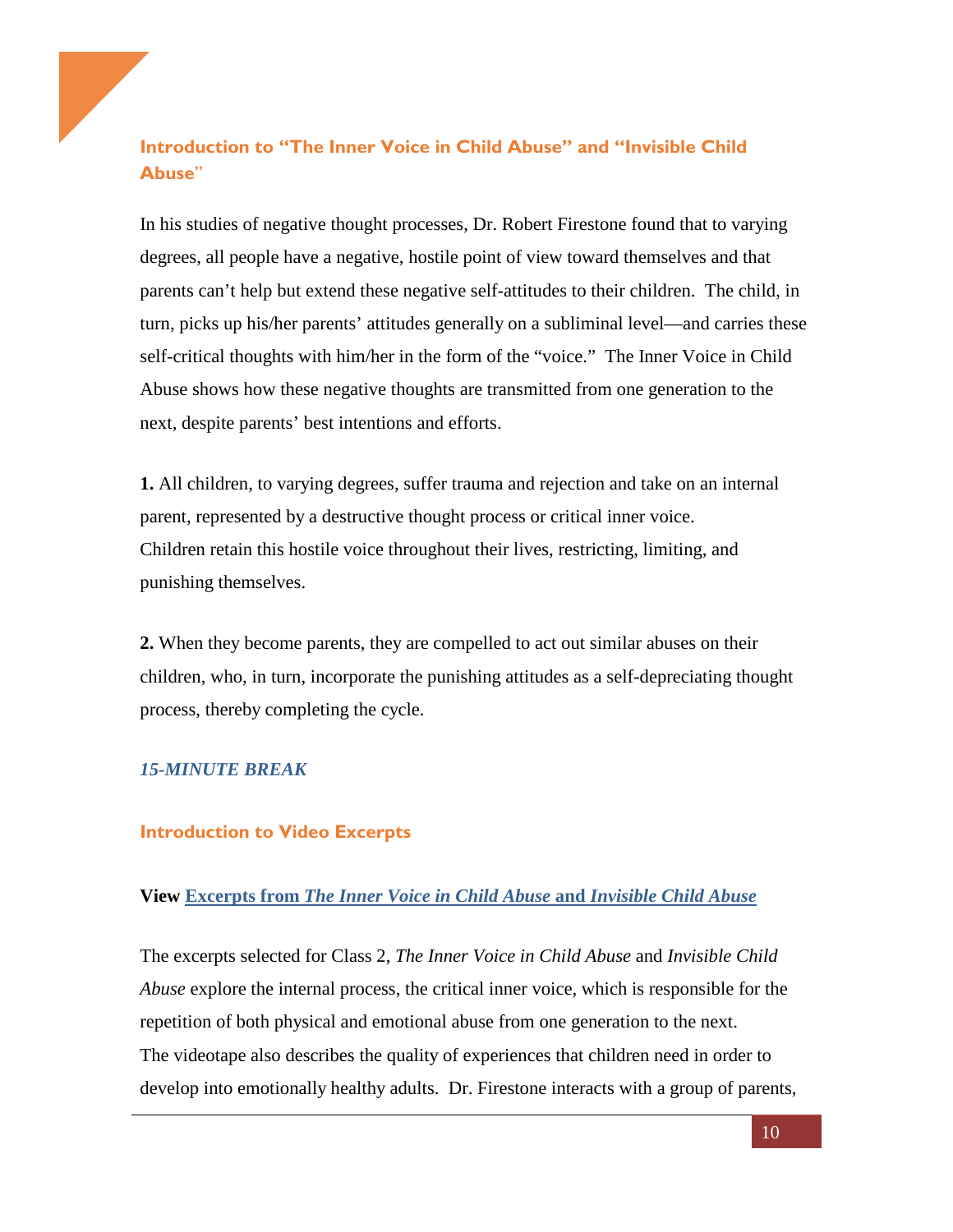## **Introduction to "The Inner Voice in Child Abuse" and "Invisible Child Abuse**"

In his studies of negative thought processes, Dr. Robert Firestone found that to varying degrees, all people have a negative, hostile point of view toward themselves and that parents can't help but extend these negative self-attitudes to their children. The child, in turn, picks up his/her parents' attitudes generally on a subliminal level—and carries these self-critical thoughts with him/her in the form of the "voice." The Inner Voice in Child Abuse shows how these negative thoughts are transmitted from one generation to the next, despite parents' best intentions and efforts.

**1.** All children, to varying degrees, suffer trauma and rejection and take on an internal parent, represented by a destructive thought process or critical inner voice. Children retain this hostile voice throughout their lives, restricting, limiting, and punishing themselves.

**2.** When they become parents, they are compelled to act out similar abuses on their children, who, in turn, incorporate the punishing attitudes as a self-depreciating thought process, thereby completing the cycle.

### *15-MINUTE BREAK*

### **Introduction to Video Excerpts**

#### **View Excerpts from** *[The Inner Voice in Child Abuse](https://ecourse.psychalive.org/lessons/lesson-two/)* **and** *Invisible Child Abuse*

The excerpts selected for Class 2, *The Inner Voice in Child Abuse* and *Invisible Child Abuse* explore the internal process, the critical inner voice, which is responsible for the repetition of both physical and emotional abuse from one generation to the next. The videotape also describes the quality of experiences that children need in order to develop into emotionally healthy adults. Dr. Firestone interacts with a group of parents,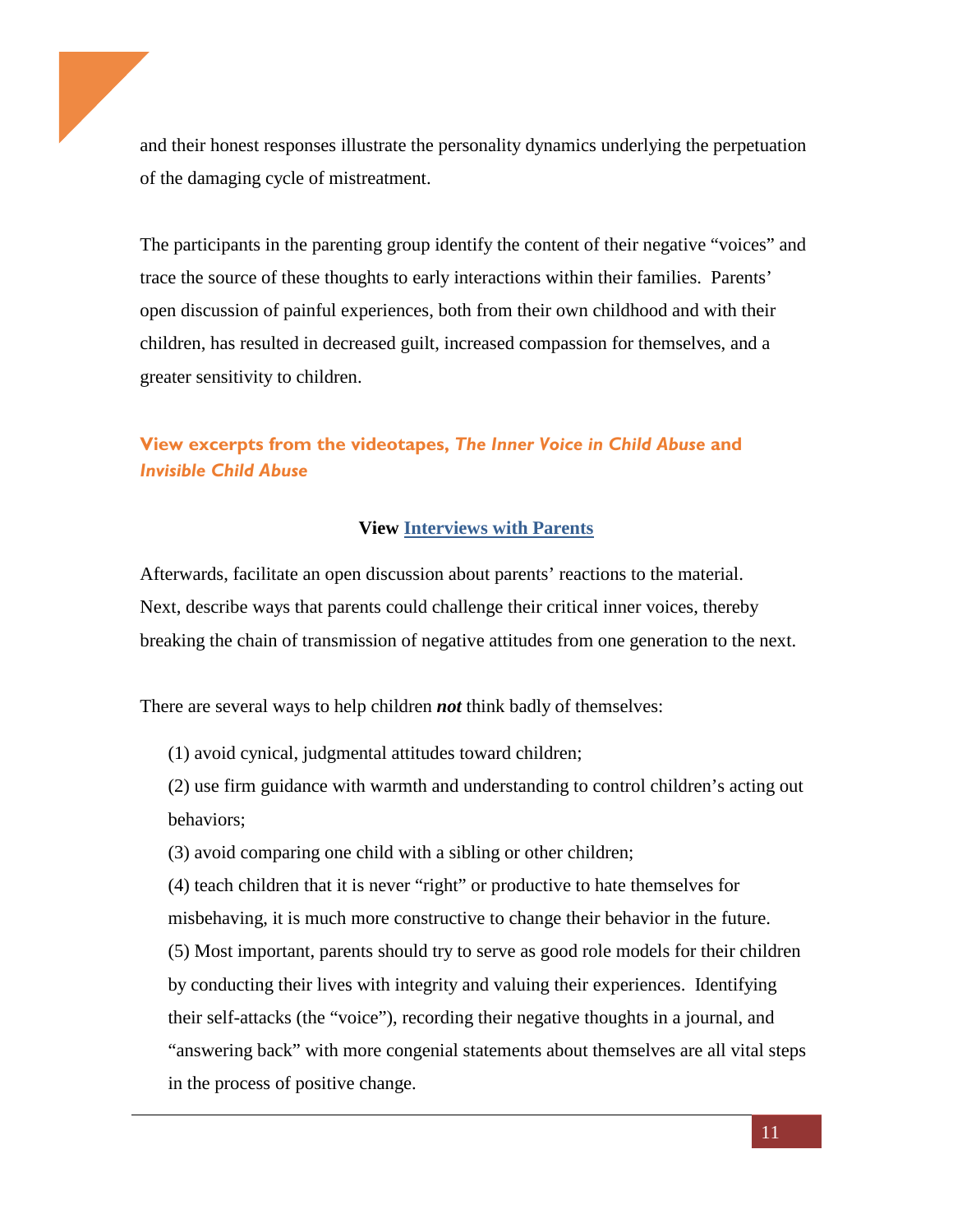and their honest responses illustrate the personality dynamics underlying the perpetuation of the damaging cycle of mistreatment.

The participants in the parenting group identify the content of their negative "voices" and trace the source of these thoughts to early interactions within their families. Parents' open discussion of painful experiences, both from their own childhood and with their children, has resulted in decreased guilt, increased compassion for themselves, and a greater sensitivity to children.

## **View excerpts from the videotapes,** *The Inner Voice in Child Abuse* **and**  *Invisible Child Abuse*

#### **View [Interviews with Parents](https://ecourse.psychalive.org/lessons/lesson-two/)**

Afterwards, facilitate an open discussion about parents' reactions to the material. Next, describe ways that parents could challenge their critical inner voices, thereby breaking the chain of transmission of negative attitudes from one generation to the next.

There are several ways to help children *not* think badly of themselves:

(1) avoid cynical, judgmental attitudes toward children;

(2) use firm guidance with warmth and understanding to control children's acting out behaviors;

(3) avoid comparing one child with a sibling or other children;

(4) teach children that it is never "right" or productive to hate themselves for misbehaving, it is much more constructive to change their behavior in the future. (5) Most important, parents should try to serve as good role models for their children by conducting their lives with integrity and valuing their experiences. Identifying their self-attacks (the "voice"), recording their negative thoughts in a journal, and "answering back" with more congenial statements about themselves are all vital steps in the process of positive change.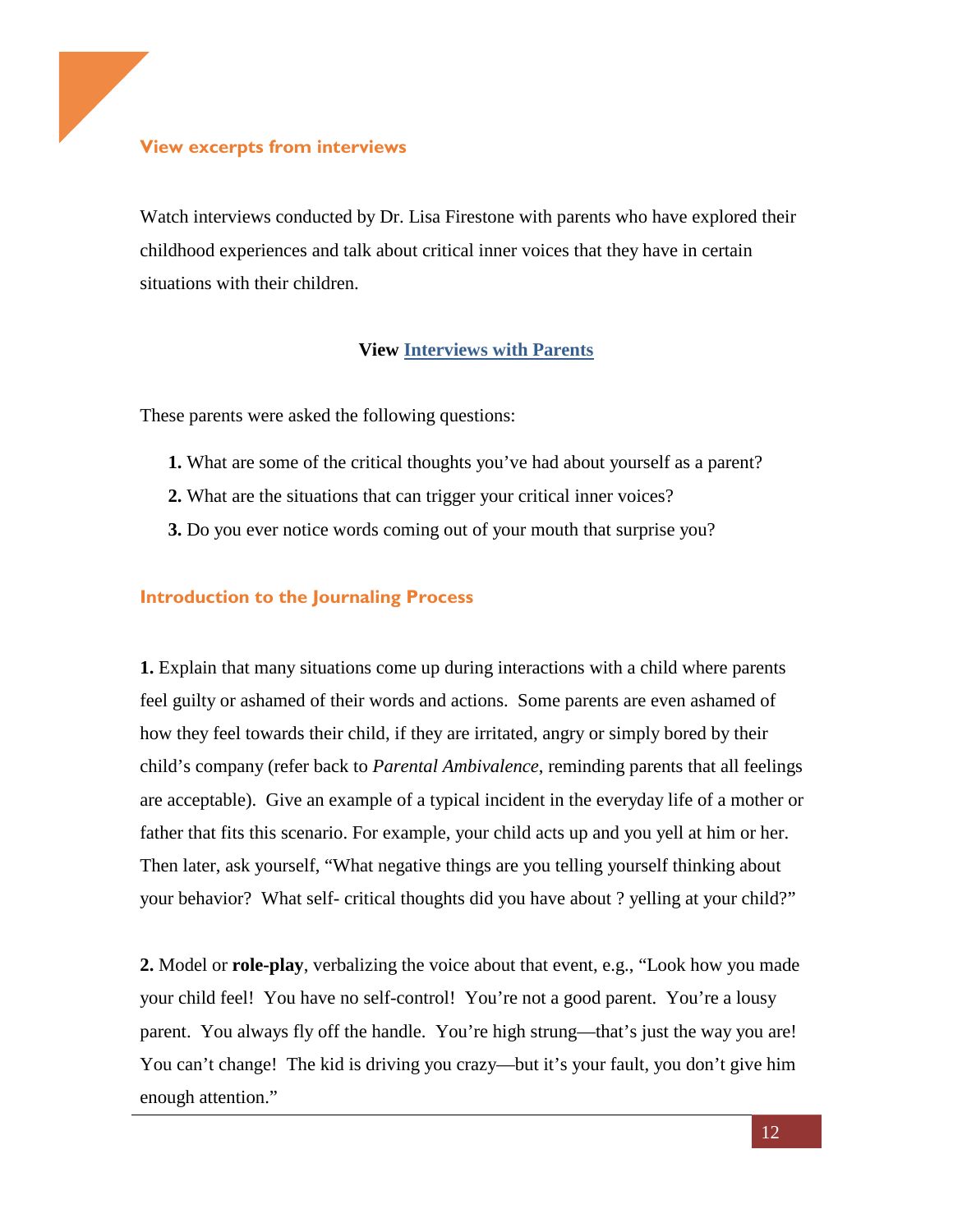### **View excerpts from interviews**

Watch interviews conducted by Dr. Lisa Firestone with parents who have explored their childhood experiences and talk about critical inner voices that they have in certain situations with their children.

### **View [Interviews with Parents](https://ecourse.psychalive.org/lessons/lesson-two/)**

These parents were asked the following questions:

- **1.** What are some of the critical thoughts you've had about yourself as a parent?
- **2.** What are the situations that can trigger your critical inner voices?
- **3.** Do you ever notice words coming out of your mouth that surprise you?

#### **Introduction to the Journaling Process**

**1.** Explain that many situations come up during interactions with a child where parents feel guilty or ashamed of their words and actions. Some parents are even ashamed of how they feel towards their child, if they are irritated, angry or simply bored by their child's company (refer back to *Parental Ambivalence*, reminding parents that all feelings are acceptable). Give an example of a typical incident in the everyday life of a mother or father that fits this scenario. For example, your child acts up and you yell at him or her. Then later, ask yourself, "What negative things are you telling yourself thinking about your behavior? What self- critical thoughts did you have about ? yelling at your child?"

**2.** Model or **role-play**, verbalizing the voice about that event, e.g., "Look how you made your child feel! You have no self-control! You're not a good parent. You're a lousy parent. You always fly off the handle. You're high strung—that's just the way you are! You can't change! The kid is driving you crazy—but it's your fault, you don't give him enough attention."